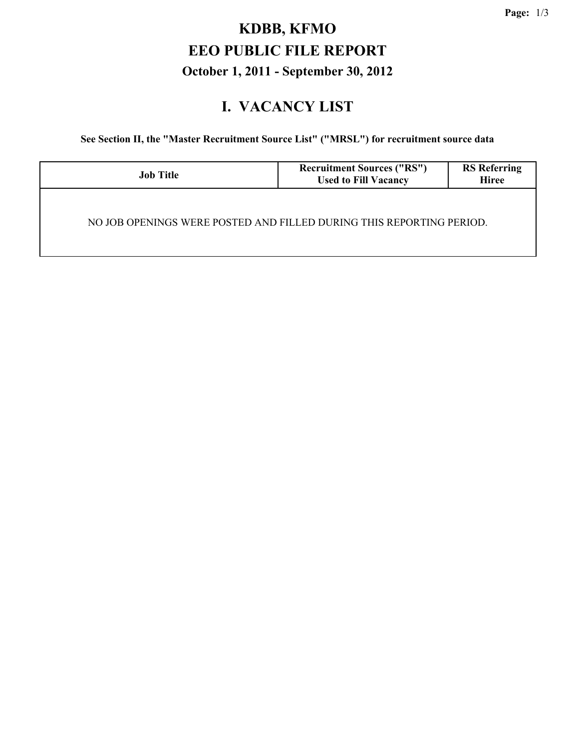## **KDBB, KFMO EEO PUBLIC FILE REPORT October 1, 2011 - September 30, 2012**

#### **I. VACANCY LIST**

**See Section II, the "Master Recruitment Source List" ("MRSL") for recruitment source data**

| <b>Job Title</b>                                                     | <b>Recruitment Sources ("RS")</b><br><b>Used to Fill Vacancy</b> | <b>RS</b> Referring<br><b>Hiree</b> |
|----------------------------------------------------------------------|------------------------------------------------------------------|-------------------------------------|
| NO JOB OPENINGS WERE POSTED AND FILLED DURING THIS REPORTING PERIOD. |                                                                  |                                     |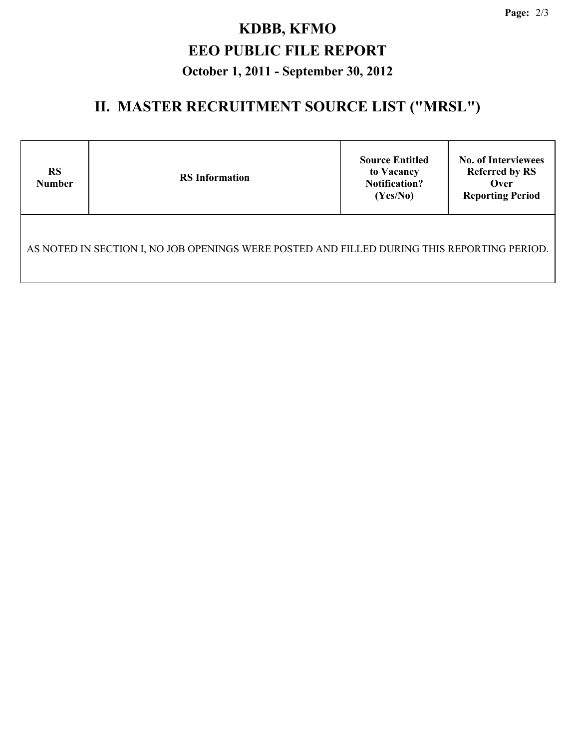# **KDBB, KFMO EEO PUBLIC FILE REPORT October 1, 2011 - September 30, 2012**

## **II. MASTER RECRUITMENT SOURCE LIST ("MRSL")**

| <b>RS</b><br><b>Number</b>                                                                  | <b>RS</b> Information | <b>Source Entitled</b><br>to Vacancy<br><b>Notification?</b><br>(Yes/No) | <b>No. of Interviewees</b><br><b>Referred by RS</b><br>Over<br><b>Reporting Period</b> |  |  |  |  |
|---------------------------------------------------------------------------------------------|-----------------------|--------------------------------------------------------------------------|----------------------------------------------------------------------------------------|--|--|--|--|
| AS NOTED IN SECTION I, NO JOB OPENINGS WERE POSTED AND FILLED DURING THIS REPORTING PERIOD. |                       |                                                                          |                                                                                        |  |  |  |  |